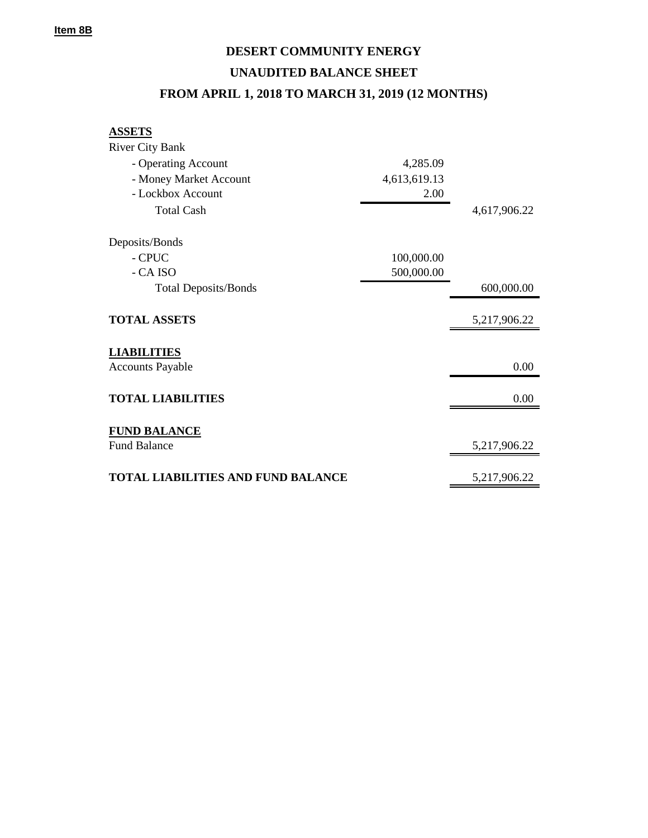## **DESERT COMMUNITY ENERGY UNAUDITED BALANCE SHEET FROM APRIL 1, 2018 TO MARCH 31, 2019 (12 MONTHS)**

## **ASSETS**

| <b>River City Bank</b>                    |              |              |
|-------------------------------------------|--------------|--------------|
| - Operating Account                       | 4,285.09     |              |
| - Money Market Account                    | 4,613,619.13 |              |
| - Lockbox Account                         | 2.00         |              |
| <b>Total Cash</b>                         |              | 4,617,906.22 |
| Deposits/Bonds                            |              |              |
| - CPUC                                    | 100,000.00   |              |
| - CA ISO                                  | 500,000.00   |              |
| <b>Total Deposits/Bonds</b>               |              | 600,000.00   |
| <b>TOTAL ASSETS</b>                       |              | 5,217,906.22 |
| <b>LIABILITIES</b>                        |              |              |
| <b>Accounts Payable</b>                   |              | 0.00         |
| <b>TOTAL LIABILITIES</b>                  |              | 0.00         |
| <b>FUND BALANCE</b>                       |              |              |
| <b>Fund Balance</b>                       |              | 5,217,906.22 |
| <b>TOTAL LIABILITIES AND FUND BALANCE</b> |              | 5,217,906.22 |